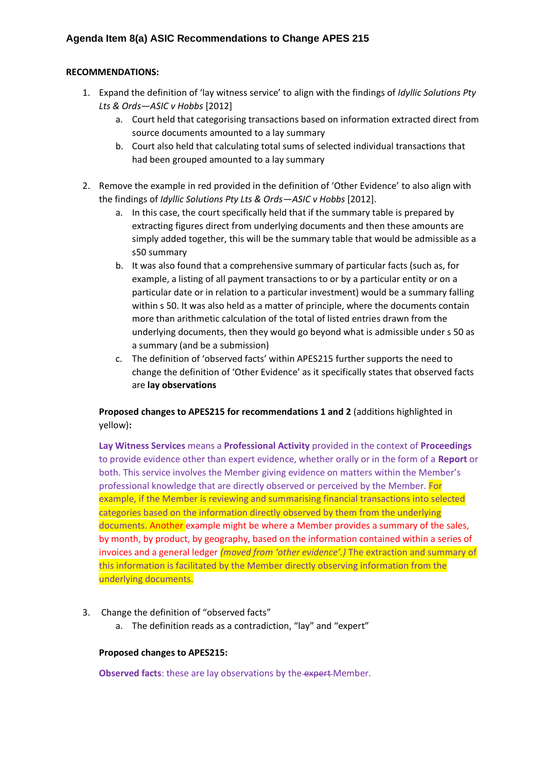### **RECOMMENDATIONS:**

- 1. Expand the definition of 'lay witness service' to align with the findings of *Idyllic Solutions Pty Lts & Ords—ASIC v Hobbs* [2012]
	- a. Court held that categorising transactions based on information extracted direct from source documents amounted to a lay summary
	- b. Court also held that calculating total sums of selected individual transactions that had been grouped amounted to a lay summary
- 2. Remove the example in red provided in the definition of 'Other Evidence' to also align with the findings of *Idyllic Solutions Pty Lts & Ords—ASIC v Hobbs* [2012].
	- a. In this case, the court specifically held that if the summary table is prepared by extracting figures direct from underlying documents and then these amounts are simply added together, this will be the summary table that would be admissible as a s50 summary
	- b. It was also found that a comprehensive summary of particular facts (such as, for example, a listing of all payment transactions to or by a particular entity or on a particular date or in relation to a particular investment) would be a summary falling within s 50. It was also held as a matter of principle, where the documents contain more than arithmetic calculation of the total of listed entries drawn from the underlying documents, then they would go beyond what is admissible under s 50 as a summary (and be a submission)
	- c. The definition of 'observed facts' within APES215 further supports the need to change the definition of 'Other Evidence' as it specifically states that observed facts are **lay observations**

## **Proposed changes to APES215 for recommendations 1 and 2** (additions highlighted in yellow)**:**

**Lay Witness Services** means a **Professional Activity** provided in the context of **Proceedings** to provide evidence other than expert evidence, whether orally or in the form of a **Report** or both. This service involves the Member giving evidence on matters within the Member's professional knowledge that are directly observed or perceived by the Member. For example, if the Member is reviewing and summarising financial transactions into selected categories based on the information directly observed by them from the underlying documents. Another example might be where a Member provides a summary of the sales, by month, by product, by geography, based on the information contained within a series of invoices and a general ledger *(moved from 'other evidence'.)* The extraction and summary of this information is facilitated by the Member directly observing information from the underlying documents.

- 3. Change the definition of "observed facts"
	- a. The definition reads as a contradiction, "lay" and "expert"

### **Proposed changes to APES215:**

**Observed facts:** these are lay observations by the-expert-Member.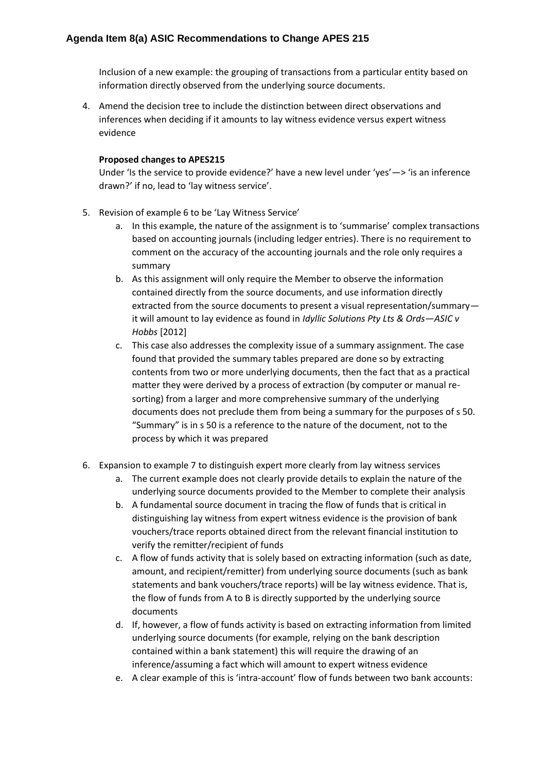# **Agenda Item 8(a) ASIC Recommendations to Change APES 215**

Inclusion of a new example: the grouping of transactions from a particular entity based on information directly observed from the underlying source documents.

4. Amend the decision tree to include the distinction between direct observations and inferences when deciding if it amounts to lay witness evidence versus expert witness evidence

### **Proposed changes to APES215**

Under 'Is the service to provide evidence?' have a new level under 'yes'—> 'is an inference drawn?' if no, lead to 'lay witness service'.

- 5. Revision of example 6 to be 'Lay Witness Service'
	- a. In this example, the nature of the assignment is to 'summarise' complex transactions based on accounting journals (including ledger entries). There is no requirement to comment on the accuracy of the accounting journals and the role only requires a summary
	- b. As this assignment will only require the Member to observe the information contained directly from the source documents, and use information directly extracted from the source documents to present a visual representation/summary it will amount to lay evidence as found in *Idyllic Solutions Pty Lts & Ords—ASIC v Hobbs* [2012]
	- c. This case also addresses the complexity issue of a summary assignment. The case found that provided the summary tables prepared are done so by extracting contents from two or more underlying documents, then the fact that as a practical matter they were derived by a process of extraction (by computer or manual resorting) from a larger and more comprehensive summary of the underlying documents does not preclude them from being a summary for the purposes of s 50. "Summary" is in s 50 is a reference to the nature of the document, not to the process by which it was prepared
- 6. Expansion to example 7 to distinguish expert more clearly from lay witness services
	- a. The current example does not clearly provide details to explain the nature of the underlying source documents provided to the Member to complete their analysis
	- b. A fundamental source document in tracing the flow of funds that is critical in distinguishing lay witness from expert witness evidence is the provision of bank vouchers/trace reports obtained direct from the relevant financial institution to verify the remitter/recipient of funds
	- c. A flow of funds activity that is solely based on extracting information (such as date, amount, and recipient/remitter) from underlying source documents (such as bank statements and bank vouchers/trace reports) will be lay witness evidence. That is, the flow of funds from A to B is directly supported by the underlying source documents
	- d. If, however, a flow of funds activity is based on extracting information from limited underlying source documents (for example, relying on the bank description contained within a bank statement) this will require the drawing of an inference/assuming a fact which will amount to expert witness evidence
	- e. A clear example of this is 'intra-account' flow of funds between two bank accounts: